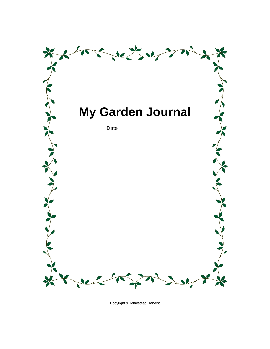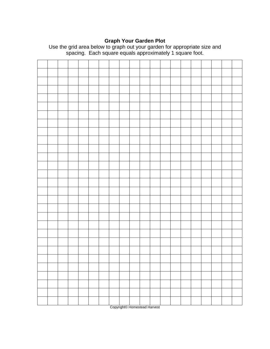### **Graph Your Garden Plot**



Use the grid area below to graph out your garden for appropriate size and spacing. Each square equals approximately 1 square foot.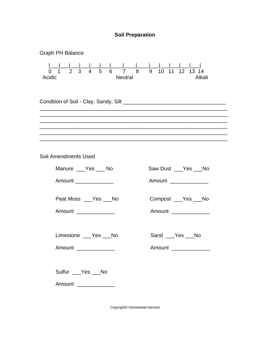

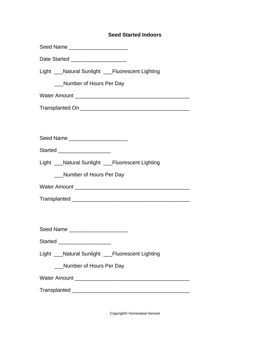## **Seed Started Indoors**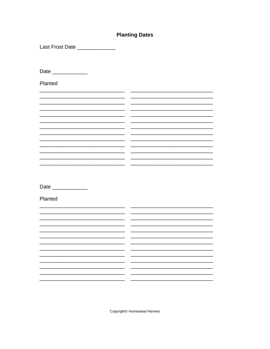# **Planting Dates**

Last Frost Date \_\_\_\_\_\_\_\_\_\_\_\_\_

Date \_\_\_\_\_\_\_\_\_\_\_\_

Planted

<u>and the second</u>  $\frac{1}{2}$ <u> 1989 - Jan Barnett, mars eta biztanleria (h. 1982).</u>  $\overline{\phantom{a}}$   $\overline{\phantom{a}}$  $\overline{\phantom{a}}$ **Contract Contract**  $\sim$ <u> 1990 - Jan Samuel II, politik eta politik eta politik eta politik eta politik eta politik eta politik eta po</u>

Date \_\_\_\_\_\_\_\_\_\_\_\_\_\_

Planted

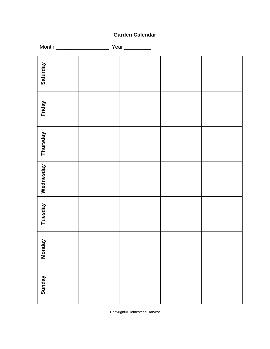# **Garden Calendar**

|           | Year _________ |  |
|-----------|----------------|--|
| Saturday  |                |  |
| Friday    |                |  |
| Thursday  |                |  |
| Wednesday |                |  |
| Tuesday   |                |  |
| Monday    |                |  |
| Sunday    |                |  |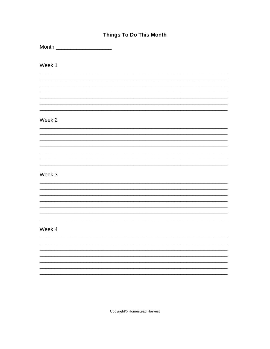# **Things To Do This Month**

Month \_\_\_\_\_\_\_\_\_\_\_\_\_\_\_\_\_\_\_\_\_\_\_\_

Week 1

## Week 2

### Week 3

#### Week 4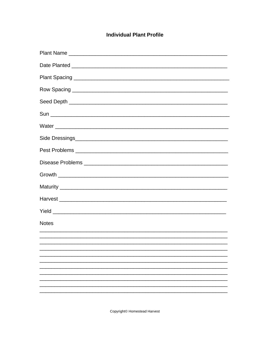# **Individual Plant Profile**

| <b>Notes</b> |
|--------------|
|              |
|              |
|              |
|              |
|              |
|              |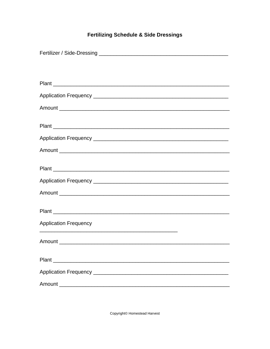# **Fertilizing Schedule & Side Dressings**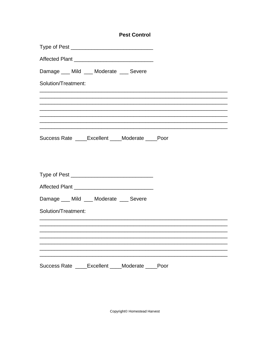|                                                  | <b>Pest Control</b> |      |
|--------------------------------------------------|---------------------|------|
|                                                  |                     |      |
| Affected Plant _________________________________ |                     |      |
| Damage ___ Mild ___ Moderate ___ Severe          |                     |      |
| Solution/Treatment:                              |                     |      |
|                                                  |                     |      |
|                                                  |                     |      |
|                                                  |                     |      |
| Success Rate ____Excellent ____Moderate ____Poor |                     |      |
|                                                  |                     |      |
|                                                  |                     |      |
|                                                  |                     |      |
| Damage ___ Mild ___ Moderate ___ Severe          |                     |      |
| Solution/Treatment:                              |                     |      |
|                                                  |                     |      |
|                                                  |                     |      |
|                                                  |                     |      |
| Success Rate _____ Excellent _____ Moderate      |                     | Poor |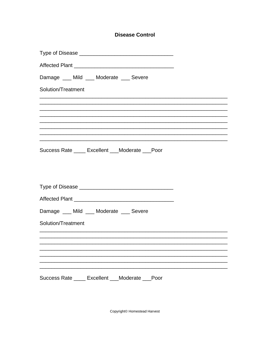# **Disease Control**

|                    |  | Damage ___ Mild ___ Moderate ___ Severe |                                                    |  |
|--------------------|--|-----------------------------------------|----------------------------------------------------|--|
| Solution/Treatment |  |                                         |                                                    |  |
|                    |  |                                         |                                                    |  |
|                    |  |                                         |                                                    |  |
|                    |  |                                         |                                                    |  |
|                    |  |                                         |                                                    |  |
|                    |  |                                         | Success Rate _____ Excellent ___ Moderate ___ Poor |  |
|                    |  |                                         |                                                    |  |
|                    |  |                                         |                                                    |  |
|                    |  |                                         |                                                    |  |
|                    |  |                                         |                                                    |  |
|                    |  | Damage ___ Mild ___ Moderate ___ Severe |                                                    |  |
| Solution/Treatment |  |                                         |                                                    |  |
|                    |  |                                         |                                                    |  |
|                    |  |                                         |                                                    |  |
|                    |  |                                         |                                                    |  |
|                    |  |                                         |                                                    |  |
|                    |  |                                         | Success Rate ____ Excellent ___Moderate ___Poor    |  |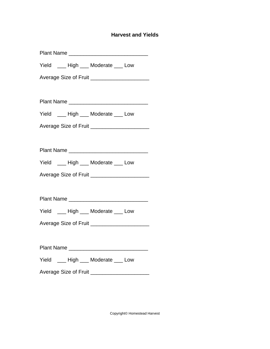## **Harvest and Yields**

| Plant Name                                    |
|-----------------------------------------------|
| Yield ___ High ___ Moderate ___ Low           |
| Average Size of Fruit _______________________ |
|                                               |
|                                               |
| Yield ___ High ___ Moderate ___ Low           |
| Average Size of Fruit ______________________  |
|                                               |
| Plant Name                                    |
| Yield ___ High ___ Moderate ___ Low           |
| Average Size of Fruit _______________________ |
|                                               |
|                                               |
| Yield ___ High ___ Moderate ___ Low           |
| Average Size of Fruit ______________________  |
|                                               |
|                                               |
| Yield ___ High ___ Moderate ___ Low           |
| Average Size of Fruit ______________________  |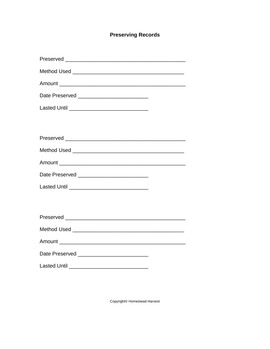# **Preserving Records**

| Date Preserved ____________________________    |
|------------------------------------------------|
|                                                |
|                                                |
|                                                |
|                                                |
|                                                |
| Date Preserved _______________________________ |
|                                                |
|                                                |
|                                                |
|                                                |
|                                                |
| Date Preserved _______________________________ |
|                                                |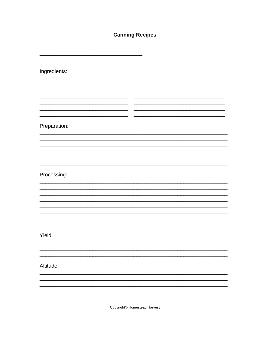# **Canning Recipes**

Ingredients: <u> 1999 - Jan Ja</u>  $\sim$ — —  $\overline{a}$   $\overline{a}$  $\overline{\phantom{a}}$  $-$ Preparation: Processing: Yield: Altitude: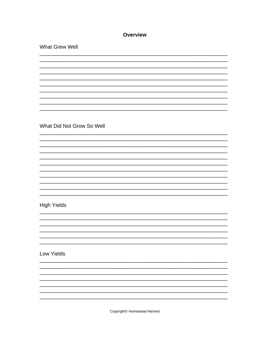## **Overview**

What Grew Well What Did Not Grow So Well **High Yields Low Yields**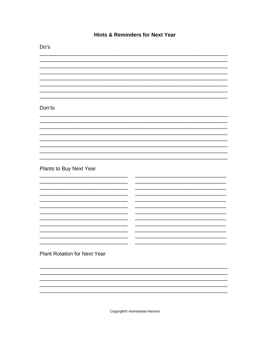## **Hints & Reminders for Next Year**

Do's Don'ts Plants to Buy Next Year  $\overline{\phantom{0}}$  $\frac{1}{2}$  $\overline{\phantom{0}}$  $\overline{\phantom{0}}$  $\overline{\phantom{0}}$ <u> 1980 - Jan Stein Stein Stein Stein Stein Stein Stein Stein Stein Stein Stein Stein Stein Stein Stein Stein S</u>  $\overline{a}$ **Plant Rotation for Next Year**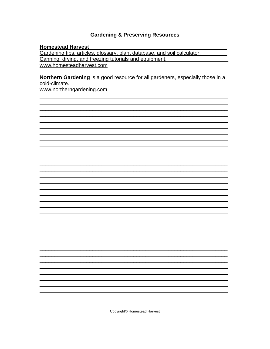## **Gardening & Preserving Resources**

#### **Homestead Harvest**

Gardening tips, articles, glossary, plant database, and soil calculator. Canning, drying, and freezing tutorials and equipment. www.homesteadharvest.com 

### Northern Gardening is a good resource for all gardeners, especially those in a cold-climate.

www.northerngardening.com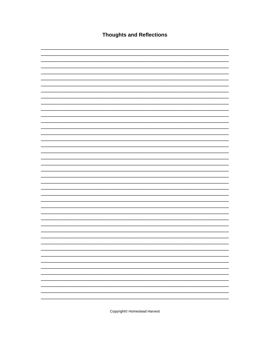**Thoughts and Reflections**